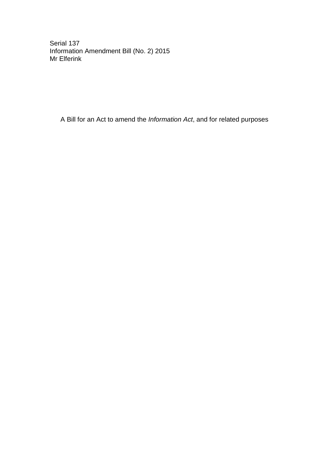Serial 137 Information Amendment Bill (No. 2) 2015 Mr Elferink

A Bill for an Act to amend the *Information Act*, and for related purposes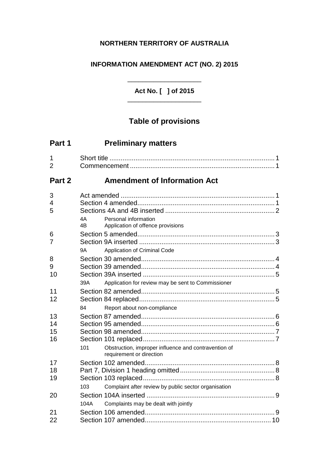## **NORTHERN TERRITORY OF AUSTRALIA**

## **INFORMATION AMENDMENT ACT (NO. 2) 2015**

**Act No. [ ] of 2015** \_\_\_\_\_\_\_\_\_\_\_\_\_\_\_\_\_\_\_\_

\_\_\_\_\_\_\_\_\_\_\_\_\_\_\_\_\_\_\_\_

# **Table of provisions**

| Part 1               | <b>Preliminary matters</b>                                                              |
|----------------------|-----------------------------------------------------------------------------------------|
| 1<br>$\overline{2}$  |                                                                                         |
| Part 2               | <b>Amendment of Information Act</b>                                                     |
| 3<br>4<br>5          | 4A<br>Personal information<br>4B<br>Application of offence provisions                   |
| 6<br>7               | Application of Criminal Code<br>9A                                                      |
| 8<br>9<br>10         | Application for review may be sent to Commissioner<br>39A                               |
| 11<br>12             | Report about non-compliance<br>84                                                       |
| 13<br>14<br>15<br>16 |                                                                                         |
| 17<br>18             | Obstruction, improper influence and contravention of<br>101<br>requirement or direction |
| 19<br>20             | Complaint after review by public sector organisation<br>103                             |
| 21<br>22             | Complaints may be dealt with jointly<br>104A                                            |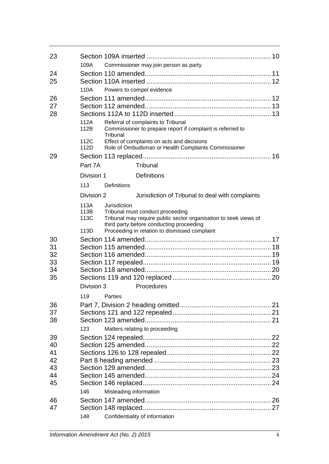| 23       |              |                        |                                                                                                      |  |
|----------|--------------|------------------------|------------------------------------------------------------------------------------------------------|--|
|          | 109A         |                        | Commissioner may join person as party                                                                |  |
| 24       |              |                        |                                                                                                      |  |
| 25       |              |                        |                                                                                                      |  |
|          | 110A         |                        | Powers to compel evidence                                                                            |  |
| 26       |              |                        |                                                                                                      |  |
| 27       |              |                        |                                                                                                      |  |
| 28       |              |                        |                                                                                                      |  |
|          | 112A<br>112B | Tribunal               | Referral of complaints to Tribunal<br>Commissioner to prepare report if complaint is referred to     |  |
|          | 112C<br>112D |                        | Effect of complaints on acts and decisions<br>Role of Ombudsman or Health Complaints Commissioner    |  |
| 29       |              |                        |                                                                                                      |  |
|          | Part 7A      |                        | Tribunal                                                                                             |  |
|          | Division 1   |                        | <b>Definitions</b>                                                                                   |  |
|          | 113          | <b>Definitions</b>     |                                                                                                      |  |
|          | Division 2   |                        | Jurisdiction of Tribunal to deal with complaints                                                     |  |
|          | 113A         | Jurisdiction           |                                                                                                      |  |
|          | 113B<br>113C |                        | Tribunal must conduct proceeding<br>Tribunal may require public sector organisation to seek views of |  |
|          |              |                        | third party before conducting proceeding                                                             |  |
|          | 113D         |                        | Proceeding in relation to dismissed complaint                                                        |  |
| 30       |              |                        |                                                                                                      |  |
| 31       |              |                        |                                                                                                      |  |
| 32<br>33 |              |                        |                                                                                                      |  |
| 34       |              |                        |                                                                                                      |  |
| 35       |              |                        |                                                                                                      |  |
|          | Division 3   |                        | Procedures                                                                                           |  |
|          | 119          | Parties                |                                                                                                      |  |
| 36       |              |                        |                                                                                                      |  |
| 37       |              |                        |                                                                                                      |  |
| 38       |              |                        |                                                                                                      |  |
|          | 123          |                        | Matters relating to proceeding                                                                       |  |
| 39       |              |                        |                                                                                                      |  |
| 40       |              |                        |                                                                                                      |  |
| 41       |              |                        |                                                                                                      |  |
| 42       |              |                        |                                                                                                      |  |
| 43       |              |                        |                                                                                                      |  |
| 44       |              |                        |                                                                                                      |  |
| 45       |              |                        |                                                                                                      |  |
|          | 146          | Misleading information |                                                                                                      |  |
| 46       |              |                        |                                                                                                      |  |
| 47       |              |                        |                                                                                                      |  |
|          | 148          |                        | Confidentiality of information                                                                       |  |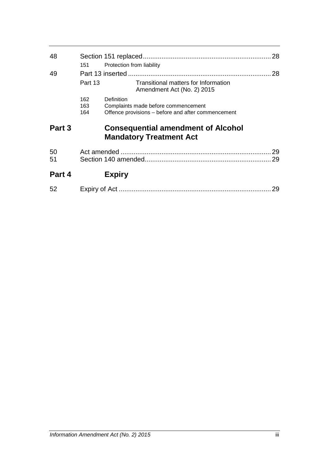| 48       | 151               | Protection from liability                                                                               | 28       |
|----------|-------------------|---------------------------------------------------------------------------------------------------------|----------|
| 49       | Part 13           | Transitional matters for Information<br>Amendment Act (No. 2) 2015                                      | 28       |
|          | 162<br>163<br>164 | Definition<br>Complaints made before commencement<br>Offence provisions – before and after commencement |          |
| Part 3   |                   | <b>Consequential amendment of Alcohol</b><br><b>Mandatory Treatment Act</b>                             |          |
| 50<br>51 |                   |                                                                                                         | 29<br>29 |
| Part 4   |                   | <b>Expiry</b>                                                                                           |          |
| 52       |                   |                                                                                                         | 29       |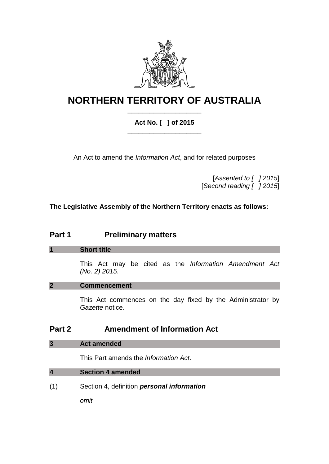

# **NORTHERN TERRITORY OF AUSTRALIA** \_\_\_\_\_\_\_\_\_\_\_\_\_\_\_\_\_\_\_\_

## **Act No. [ ] of 2015** \_\_\_\_\_\_\_\_\_\_\_\_\_\_\_\_\_\_\_\_

An Act to amend the *Information Act*, and for related purposes

[*Assented to [ ] 2015*] [*Second reading [ ] 2015*]

**The Legislative Assembly of the Northern Territory enacts as follows:**

# **Part 1 Preliminary matters**

## **1 Short title**

This Act may be cited as the *Information Amendment Act (No. 2) 2015*.

## **2 Commencement**

This Act commences on the day fixed by the Administrator by *Gazette* notice.

## **Part 2 Amendment of Information Act**

## **3 Act amended**

This Part amends the *Information Act*.

## **4 Section 4 amended**

(1) Section 4, definition *personal information*

*omit*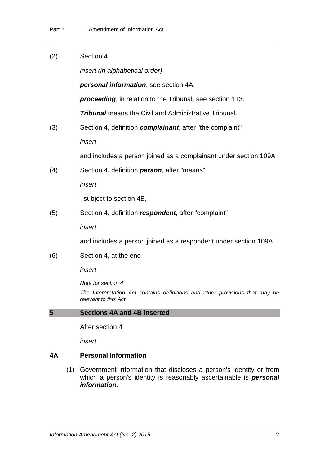| (2) | Section 4                                                                                             |  |  |  |
|-----|-------------------------------------------------------------------------------------------------------|--|--|--|
|     | insert (in alphabetical order)                                                                        |  |  |  |
|     | personal information, see section 4A.                                                                 |  |  |  |
|     | <b>proceeding</b> , in relation to the Tribunal, see section 113.                                     |  |  |  |
|     | <b>Tribunal</b> means the Civil and Administrative Tribunal.                                          |  |  |  |
| (3) | Section 4, definition <i>complainant</i> , after "the complaint"                                      |  |  |  |
|     | insert                                                                                                |  |  |  |
|     | and includes a person joined as a complainant under section 109A                                      |  |  |  |
| (4) | Section 4, definition <i>person</i> , after "means"                                                   |  |  |  |
|     | insert                                                                                                |  |  |  |
|     | , subject to section 4B,                                                                              |  |  |  |
| (5) | Section 4, definition respondent, after "complaint"                                                   |  |  |  |
|     | insert                                                                                                |  |  |  |
|     | and includes a person joined as a respondent under section 109A                                       |  |  |  |
| (6) | Section 4, at the end                                                                                 |  |  |  |
|     | insert                                                                                                |  |  |  |
|     | Note for section 4                                                                                    |  |  |  |
|     | The Interpretation Act contains definitions and other provisions that may be<br>relevant to this Act. |  |  |  |
| 5   | <b>Sections 4A and 4B inserted</b>                                                                    |  |  |  |
|     | After section 4                                                                                       |  |  |  |
|     | insert                                                                                                |  |  |  |
|     |                                                                                                       |  |  |  |

## **4A Personal information**

(1) Government information that discloses a person's identity or from which a person's identity is reasonably ascertainable is *personal information*.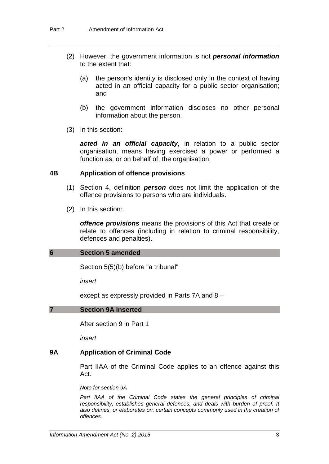- (2) However, the government information is not *personal information* to the extent that:
	- (a) the person's identity is disclosed only in the context of having acted in an official capacity for a public sector organisation; and
	- (b) the government information discloses no other personal information about the person.
- (3) In this section:

*acted in an official capacity*, in relation to a public sector organisation, means having exercised a power or performed a function as, or on behalf of, the organisation.

### **4B Application of offence provisions**

- (1) Section 4, definition *person* does not limit the application of the offence provisions to persons who are individuals.
- (2) In this section:

*offence provisions* means the provisions of this Act that create or relate to offences (including in relation to criminal responsibility, defences and penalties).

### **6 Section 5 amended**

Section 5(5)(b) before "a tribunal"

*insert*

except as expressly provided in Parts 7A and 8 –

### **7 Section 9A inserted**

After section 9 in Part 1

*insert*

### **9A Application of Criminal Code**

Part IIAA of the Criminal Code applies to an offence against this Act.

#### *Note for section 9A*

Part IIAA of the Criminal Code states the general principles of criminal *responsibility, establishes general defences, and deals with burden of proof. It also defines, or elaborates on, certain concepts commonly used in the creation of offences.*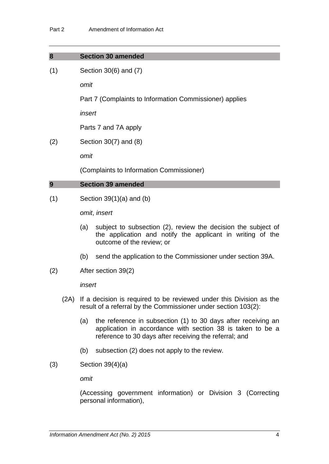### **8 Section 30 amended**

(1) Section 30(6) and (7)

*omit*

Part 7 (Complaints to Information Commissioner) applies

*insert*

Parts 7 and 7A apply

(2) Section 30(7) and (8)

*omit*

(Complaints to Information Commissioner)

## **9 Section 39 amended**

 $(1)$  Section 39 $(1)(a)$  and  $(b)$ 

*omit*, *insert*

- (a) subject to subsection (2), review the decision the subject of the application and notify the applicant in writing of the outcome of the review; or
- (b) send the application to the Commissioner under section 39A.
- (2) After section 39(2)

*insert*

- (2A) If a decision is required to be reviewed under this Division as the result of a referral by the Commissioner under section 103(2):
	- (a) the reference in subsection (1) to 30 days after receiving an application in accordance with section 38 is taken to be a reference to 30 days after receiving the referral; and
	- (b) subsection (2) does not apply to the review.
- (3) Section 39(4)(a)

*omit*

(Accessing government information) or Division 3 (Correcting personal information),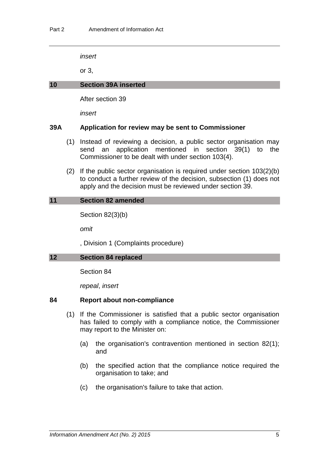*insert*

or 3,

### **10 Section 39A inserted**

After section 39

*insert*

### **39A Application for review may be sent to Commissioner**

- (1) Instead of reviewing a decision, a public sector organisation may send an application mentioned in section 39(1) to the Commissioner to be dealt with under section 103(4).
- (2) If the public sector organisation is required under section 103(2)(b) to conduct a further review of the decision, subsection (1) does not apply and the decision must be reviewed under section 39.

### **11 Section 82 amended**

Section 82(3)(b)

*omit*

, Division 1 (Complaints procedure)

### **12 Section 84 replaced**

Section 84

*repeal*, *insert*

### **84 Report about non-compliance**

- (1) If the Commissioner is satisfied that a public sector organisation has failed to comply with a compliance notice, the Commissioner may report to the Minister on:
	- (a) the organisation's contravention mentioned in section 82(1); and
	- (b) the specified action that the compliance notice required the organisation to take; and
	- (c) the organisation's failure to take that action.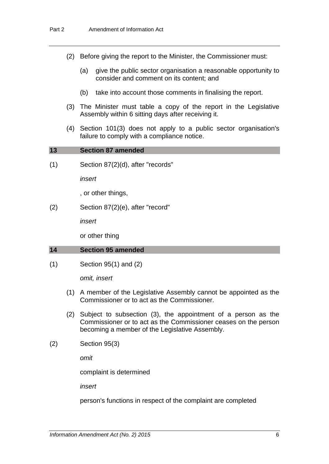- (2) Before giving the report to the Minister, the Commissioner must:
	- (a) give the public sector organisation a reasonable opportunity to consider and comment on its content; and
	- (b) take into account those comments in finalising the report.
- (3) The Minister must table a copy of the report in the Legislative Assembly within 6 sitting days after receiving it.
- (4) Section 101(3) does not apply to a public sector organisation's failure to comply with a compliance notice.

| 13 | <b>Section 87 amended</b> |
|----|---------------------------|
|    |                           |

(1) Section 87(2)(d), after "records"

*insert*

, or other things,

(2) Section 87(2)(e), after "record"

*insert*

or other thing

### **14 Section 95 amended**

(1) Section 95(1) and (2)

*omit, insert*

- (1) A member of the Legislative Assembly cannot be appointed as the Commissioner or to act as the Commissioner.
- (2) Subject to subsection (3), the appointment of a person as the Commissioner or to act as the Commissioner ceases on the person becoming a member of the Legislative Assembly.
- (2) Section 95(3)

*omit*

complaint is determined

*insert*

person's functions in respect of the complaint are completed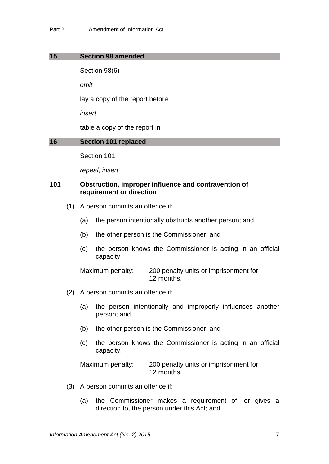### **15 Section 98 amended**

Section 98(6)

*omit*

lay a copy of the report before

*insert*

table a copy of the report in

### **16 Section 101 replaced**

Section 101

*repeal*, *insert*

### **101 Obstruction, improper influence and contravention of requirement or direction**

- (1) A person commits an offence if:
	- (a) the person intentionally obstructs another person; and
	- (b) the other person is the Commissioner; and
	- (c) the person knows the Commissioner is acting in an official capacity.

Maximum penalty: 200 penalty units or imprisonment for 12 months.

- (2) A person commits an offence if:
	- (a) the person intentionally and improperly influences another person; and
	- (b) the other person is the Commissioner; and
	- (c) the person knows the Commissioner is acting in an official capacity.

Maximum penalty: 200 penalty units or imprisonment for 12 months.

- (3) A person commits an offence if:
	- (a) the Commissioner makes a requirement of, or gives a direction to, the person under this Act; and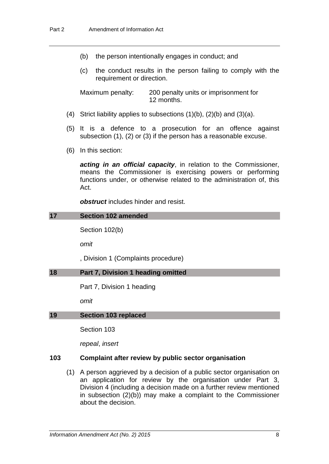- (b) the person intentionally engages in conduct; and
- (c) the conduct results in the person failing to comply with the requirement or direction.

Maximum penalty: 200 penalty units or imprisonment for 12 months.

- (4) Strict liability applies to subsections  $(1)(b)$ ,  $(2)(b)$  and  $(3)(a)$ .
- (5) It is a defence to a prosecution for an offence against subsection (1), (2) or (3) if the person has a reasonable excuse.
- (6) In this section:

*acting in an official capacity*, in relation to the Commissioner, means the Commissioner is exercising powers or performing functions under, or otherwise related to the administration of, this Act.

*obstruct* includes hinder and resist.

#### **17 Section 102 amended**

Section 102(b)

*omit*

, Division 1 (Complaints procedure)

### **18 Part 7, Division 1 heading omitted**

Part 7, Division 1 heading

*omit*

### **19 Section 103 replaced**

Section 103

*repeal*, *insert*

### **103 Complaint after review by public sector organisation**

(1) A person aggrieved by a decision of a public sector organisation on an application for review by the organisation under Part 3, Division 4 (including a decision made on a further review mentioned in subsection (2)(b)) may make a complaint to the Commissioner about the decision.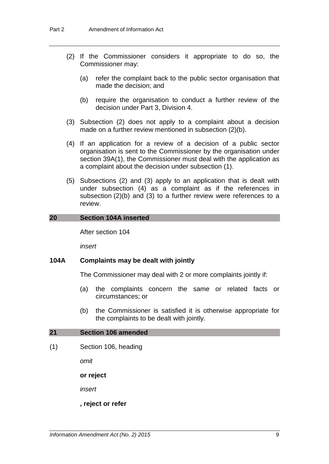- (2) If the Commissioner considers it appropriate to do so, the Commissioner may:
	- (a) refer the complaint back to the public sector organisation that made the decision; and
	- (b) require the organisation to conduct a further review of the decision under Part 3, Division 4.
- (3) Subsection (2) does not apply to a complaint about a decision made on a further review mentioned in subsection (2)(b).
- (4) If an application for a review of a decision of a public sector organisation is sent to the Commissioner by the organisation under section 39A(1), the Commissioner must deal with the application as a complaint about the decision under subsection (1).
- (5) Subsections (2) and (3) apply to an application that is dealt with under subsection (4) as a complaint as if the references in subsection (2)(b) and (3) to a further review were references to a review.

### **20 Section 104A inserted**

After section 104

*insert*

## **104A Complaints may be dealt with jointly**

The Commissioner may deal with 2 or more complaints jointly if:

- (a) the complaints concern the same or related facts or circumstances; or
- (b) the Commissioner is satisfied it is otherwise appropriate for the complaints to be dealt with jointly.

### **21 Section 106 amended**

(1) Section 106, heading

*omit*

**or reject**

*insert*

**, reject or refer**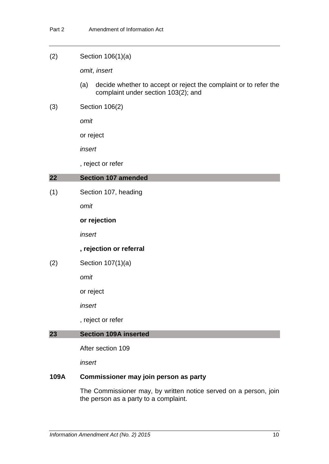### (2) Section 106(1)(a)

*omit*, *insert*

- (a) decide whether to accept or reject the complaint or to refer the complaint under section 103(2); and
- (3) Section 106(2)

*omit*

or reject

*insert*

, reject or refer

## **22 Section 107 amended**

(1) Section 107, heading

*omit*

**or rejection**

*insert*

### **, rejection or referral**

(2) Section 107(1)(a)

*omit*

or reject

*insert*

, reject or refer

## **23 Section 109A inserted**

After section 109

*insert*

## **109A Commissioner may join person as party**

The Commissioner may, by written notice served on a person, join the person as a party to a complaint.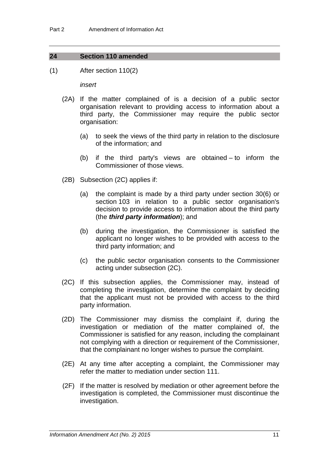## **24 Section 110 amended**

(1) After section 110(2)

*insert*

- (2A) If the matter complained of is a decision of a public sector organisation relevant to providing access to information about a third party, the Commissioner may require the public sector organisation:
	- (a) to seek the views of the third party in relation to the disclosure of the information; and
	- (b) if the third party's views are obtained to inform the Commissioner of those views.
- (2B) Subsection (2C) applies if:
	- (a) the complaint is made by a third party under section 30(6) or section 103 in relation to a public sector organisation's decision to provide access to information about the third party (the *third party information*); and
	- (b) during the investigation, the Commissioner is satisfied the applicant no longer wishes to be provided with access to the third party information; and
	- (c) the public sector organisation consents to the Commissioner acting under subsection (2C).
- (2C) If this subsection applies, the Commissioner may, instead of completing the investigation, determine the complaint by deciding that the applicant must not be provided with access to the third party information.
- (2D) The Commissioner may dismiss the complaint if, during the investigation or mediation of the matter complained of, the Commissioner is satisfied for any reason, including the complainant not complying with a direction or requirement of the Commissioner, that the complainant no longer wishes to pursue the complaint.
- (2E) At any time after accepting a complaint, the Commissioner may refer the matter to mediation under section 111.
- (2F) If the matter is resolved by mediation or other agreement before the investigation is completed, the Commissioner must discontinue the investigation.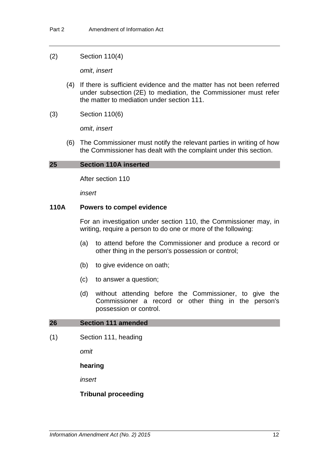### (2) Section 110(4)

*omit*, *insert*

- (4) If there is sufficient evidence and the matter has not been referred under subsection (2E) to mediation, the Commissioner must refer the matter to mediation under section 111.
- (3) Section 110(6)

*omit*, *insert*

(6) The Commissioner must notify the relevant parties in writing of how the Commissioner has dealt with the complaint under this section.

### **25 Section 110A inserted**

After section 110

*insert*

### **110A Powers to compel evidence**

For an investigation under section 110, the Commissioner may, in writing, require a person to do one or more of the following:

- (a) to attend before the Commissioner and produce a record or other thing in the person's possession or control;
- (b) to give evidence on oath;
- (c) to answer a question;
- (d) without attending before the Commissioner, to give the Commissioner a record or other thing in the person's possession or control.

### **26 Section 111 amended**

(1) Section 111, heading

*omit*

### **hearing**

*insert*

### **Tribunal proceeding**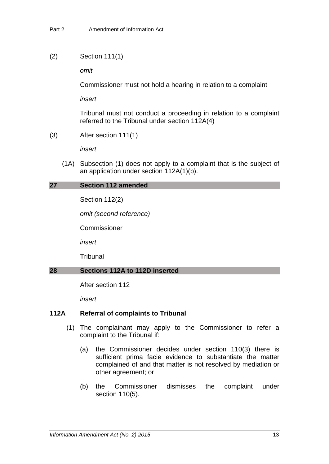### (2) Section 111(1)

*omit*

Commissioner must not hold a hearing in relation to a complaint

*insert*

Tribunal must not conduct a proceeding in relation to a complaint referred to the Tribunal under section 112A(4)

(3) After section 111(1)

*insert*

(1A) Subsection (1) does not apply to a complaint that is the subject of an application under section 112A(1)(b).

### **27 Section 112 amended**

Section 112(2)

*omit (second reference)*

Commissioner

*insert*

**Tribunal** 

### **28 Sections 112A to 112D inserted**

After section 112

*insert*

## **112A Referral of complaints to Tribunal**

- (1) The complainant may apply to the Commissioner to refer a complaint to the Tribunal if:
	- (a) the Commissioner decides under section 110(3) there is sufficient prima facie evidence to substantiate the matter complained of and that matter is not resolved by mediation or other agreement; or
	- (b) the Commissioner dismisses the complaint under section 110(5).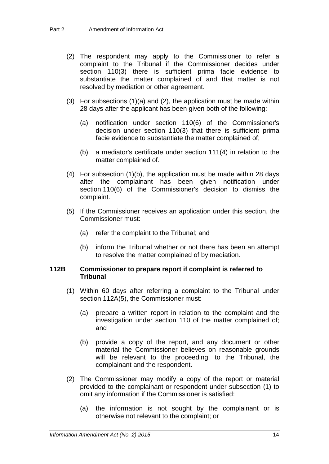- (2) The respondent may apply to the Commissioner to refer a complaint to the Tribunal if the Commissioner decides under section 110(3) there is sufficient prima facie evidence to substantiate the matter complained of and that matter is not resolved by mediation or other agreement.
- (3) For subsections (1)(a) and (2), the application must be made within 28 days after the applicant has been given both of the following:
	- (a) notification under section 110(6) of the Commissioner's decision under section 110(3) that there is sufficient prima facie evidence to substantiate the matter complained of;
	- (b) a mediator's certificate under section 111(4) in relation to the matter complained of.
- (4) For subsection (1)(b), the application must be made within 28 days after the complainant has been given notification under section 110(6) of the Commissioner's decision to dismiss the complaint.
- (5) If the Commissioner receives an application under this section, the Commissioner must:
	- (a) refer the complaint to the Tribunal; and
	- (b) inform the Tribunal whether or not there has been an attempt to resolve the matter complained of by mediation.

### **112B Commissioner to prepare report if complaint is referred to Tribunal**

- (1) Within 60 days after referring a complaint to the Tribunal under section 112A(5), the Commissioner must:
	- (a) prepare a written report in relation to the complaint and the investigation under section 110 of the matter complained of; and
	- (b) provide a copy of the report, and any document or other material the Commissioner believes on reasonable grounds will be relevant to the proceeding, to the Tribunal, the complainant and the respondent.
- (2) The Commissioner may modify a copy of the report or material provided to the complainant or respondent under subsection (1) to omit any information if the Commissioner is satisfied:
	- (a) the information is not sought by the complainant or is otherwise not relevant to the complaint; or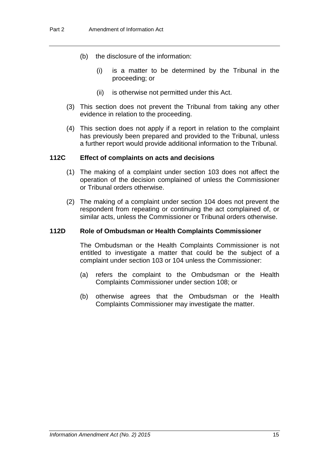- (b) the disclosure of the information:
	- (i) is a matter to be determined by the Tribunal in the proceeding; or
	- (ii) is otherwise not permitted under this Act.
- (3) This section does not prevent the Tribunal from taking any other evidence in relation to the proceeding.
- (4) This section does not apply if a report in relation to the complaint has previously been prepared and provided to the Tribunal, unless a further report would provide additional information to the Tribunal.

### **112C Effect of complaints on acts and decisions**

- (1) The making of a complaint under section 103 does not affect the operation of the decision complained of unless the Commissioner or Tribunal orders otherwise.
- (2) The making of a complaint under section 104 does not prevent the respondent from repeating or continuing the act complained of, or similar acts, unless the Commissioner or Tribunal orders otherwise.

### **112D Role of Ombudsman or Health Complaints Commissioner**

The Ombudsman or the Health Complaints Commissioner is not entitled to investigate a matter that could be the subject of a complaint under section 103 or 104 unless the Commissioner:

- (a) refers the complaint to the Ombudsman or the Health Complaints Commissioner under section 108; or
- (b) otherwise agrees that the Ombudsman or the Health Complaints Commissioner may investigate the matter.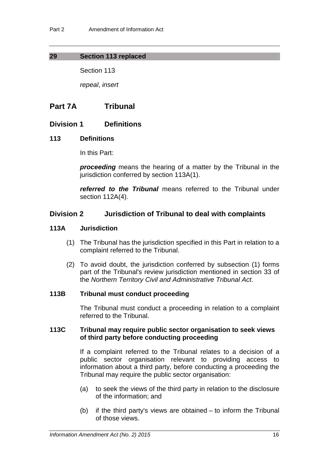## **29 Section 113 replaced**

Section 113

*repeal*, *insert*

## **Part 7A Tribunal**

## **Division 1 Definitions**

## **113 Definitions**

In this Part:

*proceeding* means the hearing of a matter by the Tribunal in the jurisdiction conferred by section 113A(1).

*referred to the Tribunal* means referred to the Tribunal under section 112A(4).

## **Division 2 Jurisdiction of Tribunal to deal with complaints**

### **113A Jurisdiction**

- (1) The Tribunal has the jurisdiction specified in this Part in relation to a complaint referred to the Tribunal.
- (2) To avoid doubt, the jurisdiction conferred by subsection (1) forms part of the Tribunal's review jurisdiction mentioned in section 33 of the *Northern Territory Civil and Administrative Tribunal Act*.

## **113B Tribunal must conduct proceeding**

The Tribunal must conduct a proceeding in relation to a complaint referred to the Tribunal.

### **113C Tribunal may require public sector organisation to seek views of third party before conducting proceeding**

If a complaint referred to the Tribunal relates to a decision of a public sector organisation relevant to providing access to information about a third party, before conducting a proceeding the Tribunal may require the public sector organisation:

- (a) to seek the views of the third party in relation to the disclosure of the information; and
- (b) if the third party's views are obtained to inform the Tribunal of those views.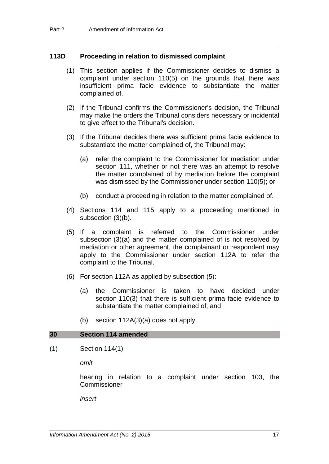### **113D Proceeding in relation to dismissed complaint**

- (1) This section applies if the Commissioner decides to dismiss a complaint under section 110(5) on the grounds that there was insufficient prima facie evidence to substantiate the matter complained of.
- (2) If the Tribunal confirms the Commissioner's decision, the Tribunal may make the orders the Tribunal considers necessary or incidental to give effect to the Tribunal's decision.
- (3) If the Tribunal decides there was sufficient prima facie evidence to substantiate the matter complained of, the Tribunal may:
	- (a) refer the complaint to the Commissioner for mediation under section 111, whether or not there was an attempt to resolve the matter complained of by mediation before the complaint was dismissed by the Commissioner under section 110(5); or
	- (b) conduct a proceeding in relation to the matter complained of.
- (4) Sections 114 and 115 apply to a proceeding mentioned in subsection (3)(b).
- (5) If a complaint is referred to the Commissioner under subsection (3)(a) and the matter complained of is not resolved by mediation or other agreement, the complainant or respondent may apply to the Commissioner under section 112A to refer the complaint to the Tribunal.
- (6) For section 112A as applied by subsection (5):
	- (a) the Commissioner is taken to have decided under section 110(3) that there is sufficient prima facie evidence to substantiate the matter complained of; and
	- (b) section 112A(3)(a) does not apply.

### **30 Section 114 amended**

(1) Section 114(1)

*omit*

hearing in relation to a complaint under section 103, the Commissioner

*insert*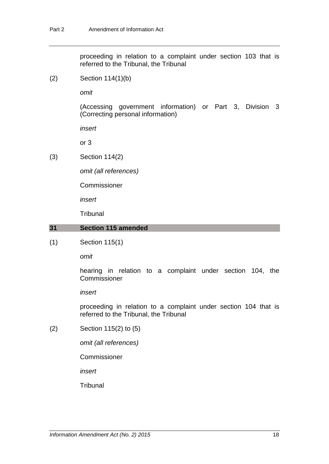proceeding in relation to a complaint under section 103 that is referred to the Tribunal, the Tribunal

(2) Section 114(1)(b)

*omit*

(Accessing government information) or Part 3, Division 3 (Correcting personal information)

*insert*

or 3

(3) Section 114(2)

*omit (all references)*

Commissioner

*insert*

**Tribunal** 

### **31 Section 115 amended**

(1) Section 115(1)

*omit*

hearing in relation to a complaint under section 104, the Commissioner

*insert*

proceeding in relation to a complaint under section 104 that is referred to the Tribunal, the Tribunal

(2) Section 115(2) to (5)

*omit (all references)*

Commissioner

*insert*

**Tribunal**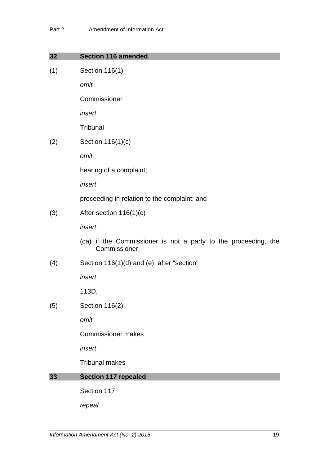| 32  | <b>Section 116 amended</b>                                                      |
|-----|---------------------------------------------------------------------------------|
| (1) | Section 116(1)                                                                  |
|     | omit                                                                            |
|     | Commissioner                                                                    |
|     | insert                                                                          |
|     | Tribunal                                                                        |
| (2) | Section 116(1)(c)                                                               |
|     | omit                                                                            |
|     | hearing of a complaint;                                                         |
|     | insert                                                                          |
|     | proceeding in relation to the complaint; and                                    |
| (3) | After section $116(1)(c)$                                                       |
|     | insert                                                                          |
|     | (ca) if the Commissioner is not a party to the proceeding, the<br>Commissioner; |
| (4) | Section 116(1)(d) and (e), after "section"                                      |
|     | insert                                                                          |
|     | 113D,                                                                           |
| (5) | Section 116(2)                                                                  |
|     | omit                                                                            |
|     | <b>Commissioner makes</b>                                                       |
|     | insert                                                                          |
|     | <b>Tribunal makes</b>                                                           |
| 33  | <b>Section 117 repealed</b>                                                     |
|     | Section 117                                                                     |
|     | repeal                                                                          |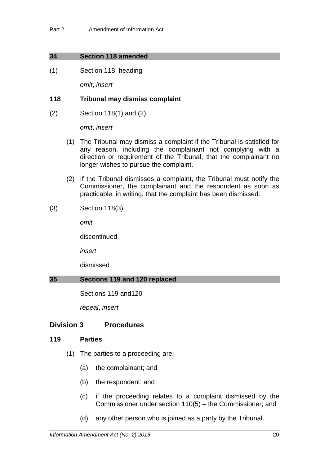## **34 Section 118 amended**

(1) Section 118, heading

*omit*, *insert*

## **118 Tribunal may dismiss complaint**

(2) Section 118(1) and (2)

*omit*, *insert*

- (1) The Tribunal may dismiss a complaint if the Tribunal is satisfied for any reason, including the complainant not complying with a direction or requirement of the Tribunal, that the complainant no longer wishes to pursue the complaint.
- (2) If the Tribunal dismisses a complaint, the Tribunal must notify the Commissioner, the complainant and the respondent as soon as practicable, in writing, that the complaint has been dismissed.
- (3) Section 118(3)

*omit*

discontinued

*insert*

dismissed

## **35 Sections 119 and 120 replaced**

Sections 119 and120

*repeal*, *insert*

## **Division 3 Procedures**

## **119 Parties**

- (1) The parties to a proceeding are:
	- (a) the complainant; and
	- (b) the respondent; and
	- (c) if the proceeding relates to a complaint dismissed by the Commissioner under section 110(5) – the Commissioner; and
	- (d) any other person who is joined as a party by the Tribunal.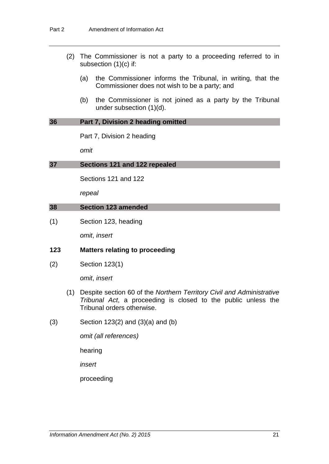- (2) The Commissioner is not a party to a proceeding referred to in subsection (1)(c) if:
	- (a) the Commissioner informs the Tribunal, in writing, that the Commissioner does not wish to be a party; and
	- (b) the Commissioner is not joined as a party by the Tribunal under subsection (1)(d).

## **36 Part 7, Division 2 heading omitted**

Part 7, Division 2 heading

*omit*

## **37 Sections 121 and 122 repealed**

Sections 121 and 122

*repeal*

### **38 Section 123 amended**

(1) Section 123, heading

*omit*, *insert*

## **123 Matters relating to proceeding**

(2) Section 123(1)

*omit*, *insert*

- (1) Despite section 60 of the *Northern Territory Civil and Administrative Tribunal Act*, a proceeding is closed to the public unless the Tribunal orders otherwise.
- $(3)$  Section 123 $(2)$  and  $(3)(a)$  and  $(b)$

*omit (all references)*

hearing

*insert*

proceeding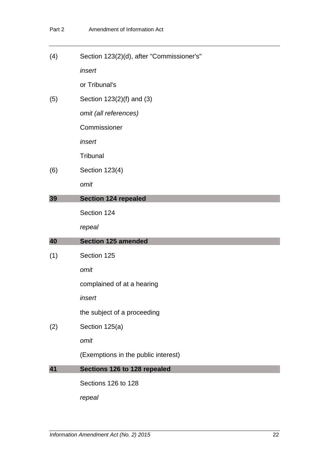(4) Section 123(2)(d), after "Commissioner's" *insert*

or Tribunal's

(5) Section 123(2)(f) and (3)

*omit (all references)*

Commissioner

*insert*

**Tribunal** 

(6) Section 123(4)

*omit*

### **39 Section 124 repealed**

Section 124

*repeal*

## **40 Section 125 amended**

(1) Section 125

*omit*

complained of at a hearing

*insert*

the subject of a proceeding

(2) Section 125(a)

*omit*

(Exemptions in the public interest)

## **41 Sections 126 to 128 repealed**

Sections 126 to 128

*repeal*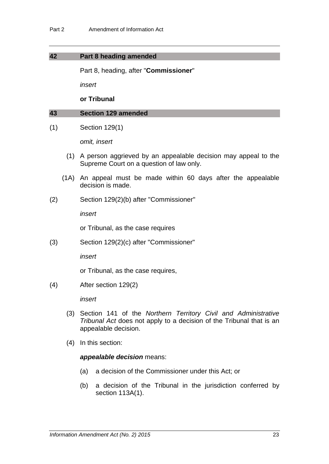### **42 Part 8 heading amended**

Part 8, heading, after "**Commissioner**"

*insert*

### **or Tribunal**

### **43 Section 129 amended**

(1) Section 129(1)

*omit, insert*

- (1) A person aggrieved by an appealable decision may appeal to the Supreme Court on a question of law only.
- (1A) An appeal must be made within 60 days after the appealable decision is made.
- (2) Section 129(2)(b) after "Commissioner"

*insert*

or Tribunal, as the case requires

(3) Section 129(2)(c) after "Commissioner"

*insert*

or Tribunal, as the case requires,

(4) After section 129(2)

*insert*

- (3) Section 141 of the *Northern Territory Civil and Administrative Tribunal Act* does not apply to a decision of the Tribunal that is an appealable decision.
- (4) In this section:

### *appealable decision* means:

- (a) a decision of the Commissioner under this Act; or
- (b) a decision of the Tribunal in the jurisdiction conferred by section 113A(1).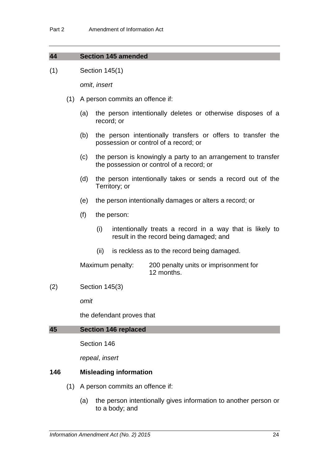| 44 |  | <b>Section 145 amended</b> |
|----|--|----------------------------|
|    |  |                            |

(1) Section 145(1)

*omit*, *insert*

- (1) A person commits an offence if:
	- (a) the person intentionally deletes or otherwise disposes of a record; or
	- (b) the person intentionally transfers or offers to transfer the possession or control of a record; or
	- (c) the person is knowingly a party to an arrangement to transfer the possession or control of a record; or
	- (d) the person intentionally takes or sends a record out of the Territory; or
	- (e) the person intentionally damages or alters a record; or
	- (f) the person:
		- (i) intentionally treats a record in a way that is likely to result in the record being damaged; and
		- (ii) is reckless as to the record being damaged.

Maximum penalty: 200 penalty units or imprisonment for 12 months.

### (2) Section 145(3)

*omit*

the defendant proves that

### **45 Section 146 replaced**

Section 146

*repeal*, *insert*

## **146 Misleading information**

- (1) A person commits an offence if:
	- (a) the person intentionally gives information to another person or to a body; and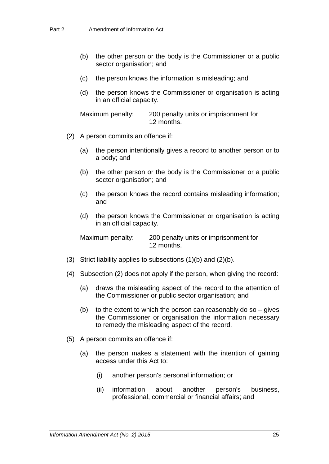- (b) the other person or the body is the Commissioner or a public sector organisation; and
- (c) the person knows the information is misleading; and
- (d) the person knows the Commissioner or organisation is acting in an official capacity.

Maximum penalty: 200 penalty units or imprisonment for 12 months.

- (2) A person commits an offence if:
	- (a) the person intentionally gives a record to another person or to a body; and
	- (b) the other person or the body is the Commissioner or a public sector organisation; and
	- (c) the person knows the record contains misleading information; and
	- (d) the person knows the Commissioner or organisation is acting in an official capacity.

Maximum penalty: 200 penalty units or imprisonment for 12 months.

- (3) Strict liability applies to subsections (1)(b) and (2)(b).
- (4) Subsection (2) does not apply if the person, when giving the record:
	- (a) draws the misleading aspect of the record to the attention of the Commissioner or public sector organisation; and
	- (b) to the extent to which the person can reasonably do so  $-$  gives the Commissioner or organisation the information necessary to remedy the misleading aspect of the record.
- (5) A person commits an offence if:
	- (a) the person makes a statement with the intention of gaining access under this Act to:
		- (i) another person's personal information; or
		- (ii) information about another person's business, professional, commercial or financial affairs; and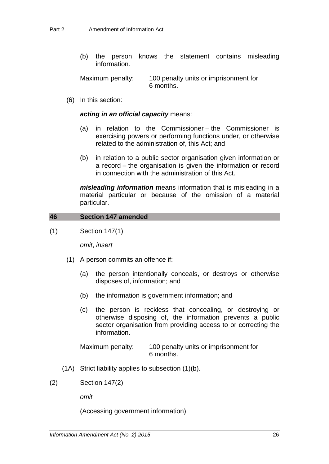(b) the person knows the statement contains misleading information.

Maximum penalty: 100 penalty units or imprisonment for 6 months.

(6) In this section:

### *acting in an official capacity* means:

- (a) in relation to the Commissioner the Commissioner is exercising powers or performing functions under, or otherwise related to the administration of, this Act; and
- (b) in relation to a public sector organisation given information or a record – the organisation is given the information or record in connection with the administration of this Act.

*misleading information* means information that is misleading in a material particular or because of the omission of a material particular.

#### **46 Section 147 amended**

(1) Section 147(1)

*omit*, *insert*

- (1) A person commits an offence if:
	- (a) the person intentionally conceals, or destroys or otherwise disposes of, information; and
	- (b) the information is government information; and
	- (c) the person is reckless that concealing, or destroying or otherwise disposing of, the information prevents a public sector organisation from providing access to or correcting the information.

Maximum penalty: 100 penalty units or imprisonment for 6 months.

- (1A) Strict liability applies to subsection (1)(b).
- (2) Section 147(2)

*omit*

(Accessing government information)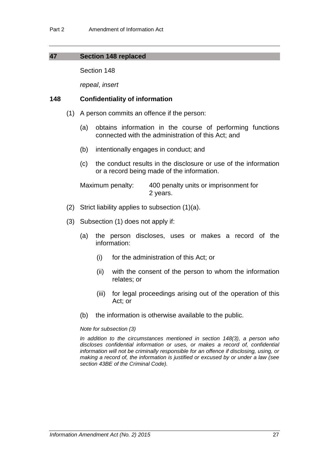### **47 Section 148 replaced**

Section 148

*repeal*, *insert*

### **148 Confidentiality of information**

- (1) A person commits an offence if the person:
	- (a) obtains information in the course of performing functions connected with the administration of this Act; and
	- (b) intentionally engages in conduct; and
	- (c) the conduct results in the disclosure or use of the information or a record being made of the information.

Maximum penalty: 400 penalty units or imprisonment for 2 years.

- (2) Strict liability applies to subsection (1)(a).
- (3) Subsection (1) does not apply if:
	- (a) the person discloses, uses or makes a record of the information:
		- (i) for the administration of this Act; or
		- (ii) with the consent of the person to whom the information relates; or
		- (iii) for legal proceedings arising out of the operation of this Act; or
	- (b) the information is otherwise available to the public.

#### *Note for subsection (3)*

*In addition to the circumstances mentioned in section 148(3), a person who discloses confidential information or uses, or makes a record of, confidential information will not be criminally responsible for an offence if disclosing, using, or making a record of, the information is justified or excused by or under a law (see section 43BE of the Criminal Code).*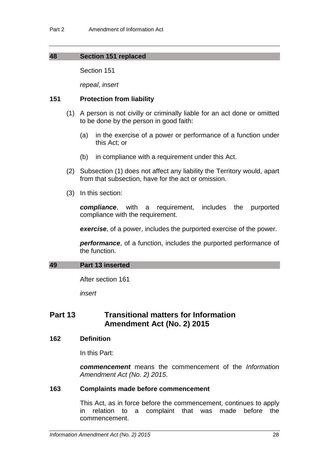## **48 Section 151 replaced**

Section 151

*repeal*, *insert*

## **151 Protection from liability**

- (1) A person is not civilly or criminally liable for an act done or omitted to be done by the person in good faith:
	- (a) in the exercise of a power or performance of a function under this Act; or
	- (b) in compliance with a requirement under this Act.
- (2) Subsection (1) does not affect any liability the Territory would, apart from that subsection, have for the act or omission.
- (3) In this section:

*compliance*, with a requirement, includes the purported compliance with the requirement.

*exercise*, of a power, includes the purported exercise of the power.

*performance*, of a function, includes the purported performance of the function.

## **49 Part 13 inserted**

After section 161

*insert*

## **Part 13 Transitional matters for Information Amendment Act (No. 2) 2015**

### **162 Definition**

In this Part:

*commencement* means the commencement of the *Information Amendment Act (No. 2) 2015*.

## **163 Complaints made before commencement**

This Act, as in force before the commencement, continues to apply in relation to a complaint that was made before the commencement.